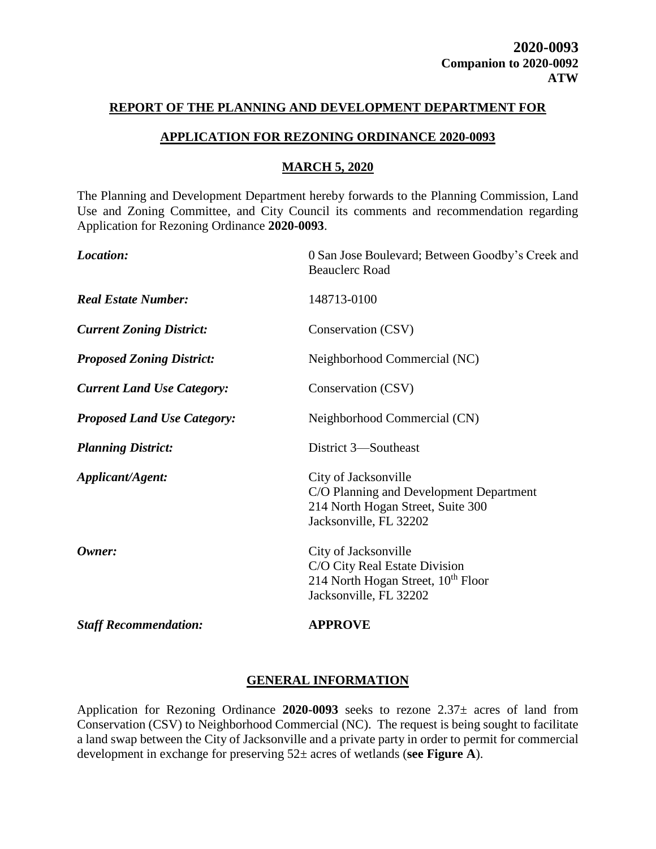#### **REPORT OF THE PLANNING AND DEVELOPMENT DEPARTMENT FOR**

### **APPLICATION FOR REZONING ORDINANCE 2020-0093**

### **MARCH 5, 2020**

The Planning and Development Department hereby forwards to the Planning Commission, Land Use and Zoning Committee, and City Council its comments and recommendation regarding Application for Rezoning Ordinance **2020-0093**.

| Location:                          | 0 San Jose Boulevard; Between Goodby's Creek and<br><b>Beauclerc Road</b>                                                         |  |
|------------------------------------|-----------------------------------------------------------------------------------------------------------------------------------|--|
| <b>Real Estate Number:</b>         | 148713-0100                                                                                                                       |  |
| <b>Current Zoning District:</b>    | Conservation (CSV)                                                                                                                |  |
| <b>Proposed Zoning District:</b>   | Neighborhood Commercial (NC)                                                                                                      |  |
| <b>Current Land Use Category:</b>  | Conservation (CSV)                                                                                                                |  |
| <b>Proposed Land Use Category:</b> | Neighborhood Commercial (CN)                                                                                                      |  |
| <b>Planning District:</b>          | District 3—Southeast                                                                                                              |  |
| Applicant/Agent:                   | City of Jacksonville<br>C/O Planning and Development Department<br>214 North Hogan Street, Suite 300<br>Jacksonville, FL 32202    |  |
| Owner:                             | City of Jacksonville<br>C/O City Real Estate Division<br>214 North Hogan Street, 10 <sup>th</sup> Floor<br>Jacksonville, FL 32202 |  |
| <b>Staff Recommendation:</b>       | <b>APPROVE</b>                                                                                                                    |  |

## **GENERAL INFORMATION**

Application for Rezoning Ordinance **2020-0093** seeks to rezone 2.37± acres of land from Conservation (CSV) to Neighborhood Commercial (NC). The request is being sought to facilitate a land swap between the City of Jacksonville and a private party in order to permit for commercial development in exchange for preserving 52± acres of wetlands (**see Figure A**).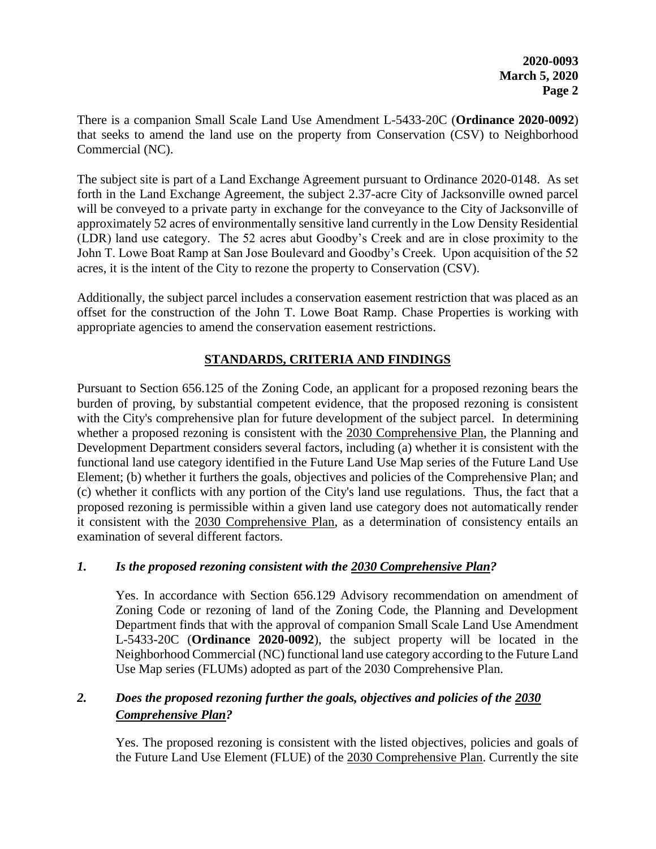There is a companion Small Scale Land Use Amendment L-5433-20C (**Ordinance 2020-0092**) that seeks to amend the land use on the property from Conservation (CSV) to Neighborhood Commercial (NC).

The subject site is part of a Land Exchange Agreement pursuant to Ordinance 2020-0148. As set forth in the Land Exchange Agreement, the subject 2.37-acre City of Jacksonville owned parcel will be conveyed to a private party in exchange for the conveyance to the City of Jacksonville of approximately 52 acres of environmentally sensitive land currently in the Low Density Residential (LDR) land use category. The 52 acres abut Goodby's Creek and are in close proximity to the John T. Lowe Boat Ramp at San Jose Boulevard and Goodby's Creek. Upon acquisition of the 52 acres, it is the intent of the City to rezone the property to Conservation (CSV).

Additionally, the subject parcel includes a conservation easement restriction that was placed as an offset for the construction of the John T. Lowe Boat Ramp. Chase Properties is working with appropriate agencies to amend the conservation easement restrictions.

## **STANDARDS, CRITERIA AND FINDINGS**

Pursuant to Section 656.125 of the Zoning Code, an applicant for a proposed rezoning bears the burden of proving, by substantial competent evidence, that the proposed rezoning is consistent with the City's comprehensive plan for future development of the subject parcel. In determining whether a proposed rezoning is consistent with the 2030 Comprehensive Plan, the Planning and Development Department considers several factors, including (a) whether it is consistent with the functional land use category identified in the Future Land Use Map series of the Future Land Use Element; (b) whether it furthers the goals, objectives and policies of the Comprehensive Plan; and (c) whether it conflicts with any portion of the City's land use regulations. Thus, the fact that a proposed rezoning is permissible within a given land use category does not automatically render it consistent with the 2030 Comprehensive Plan, as a determination of consistency entails an examination of several different factors.

## *1. Is the proposed rezoning consistent with the 2030 Comprehensive Plan?*

Yes. In accordance with Section 656.129 Advisory recommendation on amendment of Zoning Code or rezoning of land of the Zoning Code, the Planning and Development Department finds that with the approval of companion Small Scale Land Use Amendment L-5433-20C (**Ordinance 2020-0092**), the subject property will be located in the Neighborhood Commercial (NC) functional land use category according to the Future Land Use Map series (FLUMs) adopted as part of the 2030 Comprehensive Plan.

## *2. Does the proposed rezoning further the goals, objectives and policies of the 2030 Comprehensive Plan?*

Yes. The proposed rezoning is consistent with the listed objectives, policies and goals of the Future Land Use Element (FLUE) of the 2030 Comprehensive Plan. Currently the site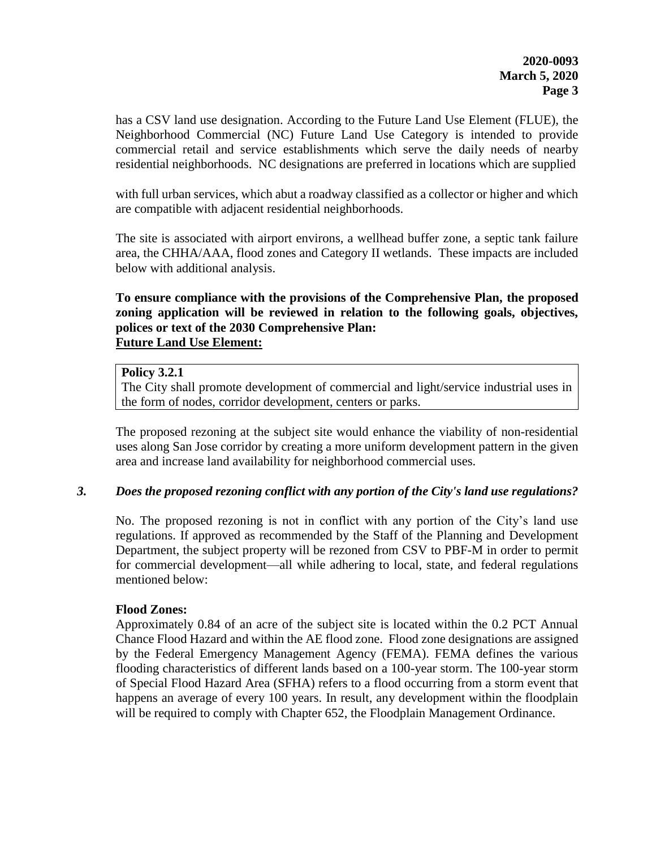has a CSV land use designation. According to the Future Land Use Element (FLUE), the Neighborhood Commercial (NC) Future Land Use Category is intended to provide commercial retail and service establishments which serve the daily needs of nearby residential neighborhoods. NC designations are preferred in locations which are supplied

with full urban services, which abut a roadway classified as a collector or higher and which are compatible with adjacent residential neighborhoods.

The site is associated with airport environs, a wellhead buffer zone, a septic tank failure area, the CHHA/AAA, flood zones and Category II wetlands. These impacts are included below with additional analysis.

### **To ensure compliance with the provisions of the Comprehensive Plan, the proposed zoning application will be reviewed in relation to the following goals, objectives, polices or text of the 2030 Comprehensive Plan: Future Land Use Element:**

### **Policy 3.2.1**

The City shall promote development of commercial and light/service industrial uses in the form of nodes, corridor development, centers or parks.

The proposed rezoning at the subject site would enhance the viability of non-residential uses along San Jose corridor by creating a more uniform development pattern in the given area and increase land availability for neighborhood commercial uses.

#### *3. Does the proposed rezoning conflict with any portion of the City's land use regulations?*

No. The proposed rezoning is not in conflict with any portion of the City's land use regulations. If approved as recommended by the Staff of the Planning and Development Department, the subject property will be rezoned from CSV to PBF-M in order to permit for commercial development—all while adhering to local, state, and federal regulations mentioned below:

#### **Flood Zones:**

Approximately 0.84 of an acre of the subject site is located within the 0.2 PCT Annual Chance Flood Hazard and within the AE flood zone. Flood zone designations are assigned by the Federal Emergency Management Agency (FEMA). FEMA defines the various flooding characteristics of different lands based on a 100-year storm. The 100-year storm of Special Flood Hazard Area (SFHA) refers to a flood occurring from a storm event that happens an average of every 100 years. In result, any development within the floodplain will be required to comply with Chapter 652, the Floodplain Management Ordinance.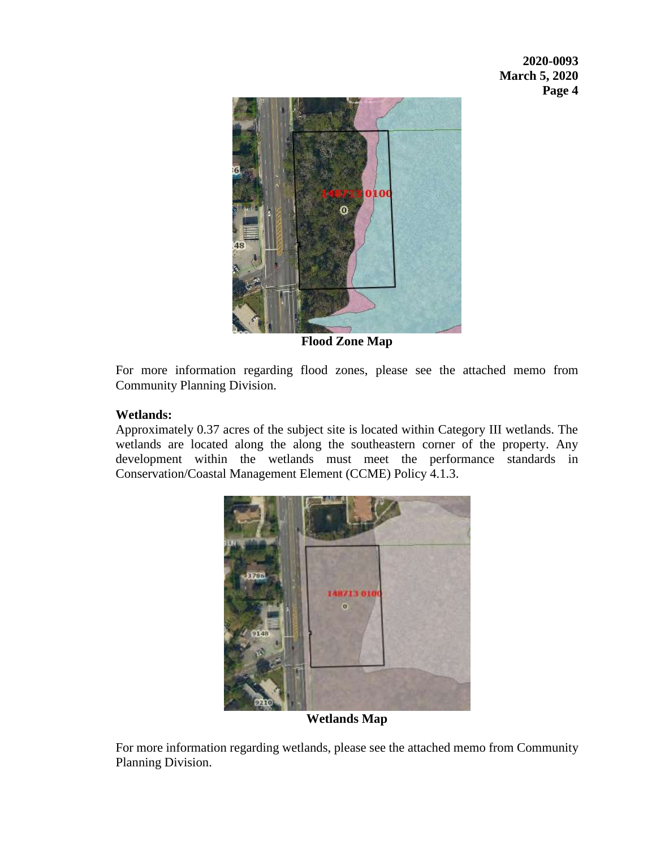

**Flood Zone Map**

For more information regarding flood zones, please see the attached memo from Community Planning Division.

## **Wetlands:**

Approximately 0.37 acres of the subject site is located within Category III wetlands. The wetlands are located along the along the southeastern corner of the property. Any development within the wetlands must meet the performance standards in Conservation/Coastal Management Element (CCME) Policy 4.1.3.



**Wetlands Map**

For more information regarding wetlands, please see the attached memo from Community Planning Division.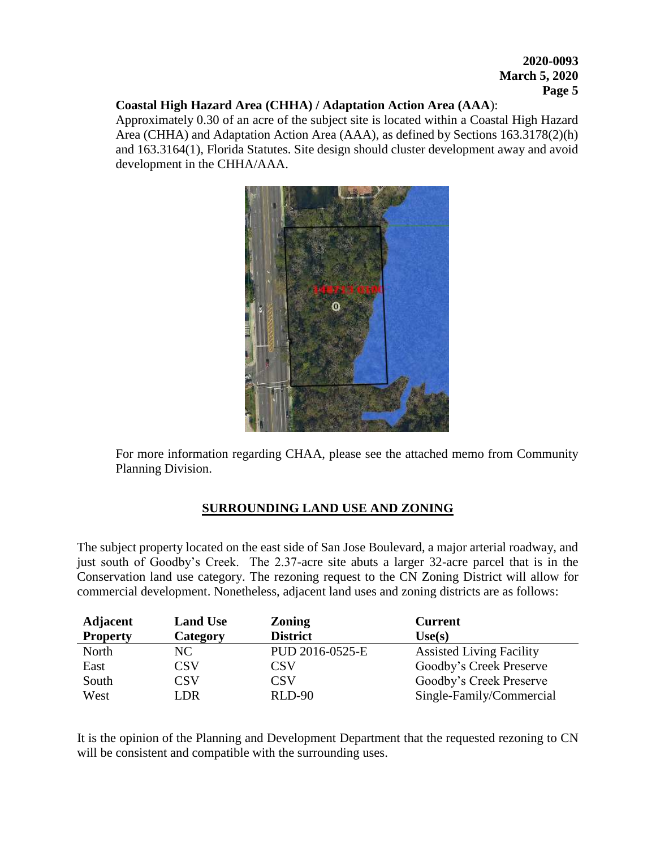#### **Coastal High Hazard Area (CHHA) / Adaptation Action Area (AAA**):

Approximately 0.30 of an acre of the subject site is located within a Coastal High Hazard Area (CHHA) and Adaptation Action Area (AAA), as defined by Sections 163.3178(2)(h) and 163.3164(1), Florida Statutes. Site design should cluster development away and avoid development in the CHHA/AAA.



For more information regarding CHAA, please see the attached memo from Community Planning Division.

## **SURROUNDING LAND USE AND ZONING**

The subject property located on the east side of San Jose Boulevard, a major arterial roadway, and just south of Goodby's Creek. The 2.37-acre site abuts a larger 32-acre parcel that is in the Conservation land use category. The rezoning request to the CN Zoning District will allow for commercial development. Nonetheless, adjacent land uses and zoning districts are as follows:

| <b>Adjacent</b> | <b>Land Use</b> | <b>Zoning</b>   | <b>Current</b>                  |
|-----------------|-----------------|-----------------|---------------------------------|
| <b>Property</b> | Category        | <b>District</b> | Use(s)                          |
| North           | NC.             | PUD 2016-0525-E | <b>Assisted Living Facility</b> |
| East            | CSV             | CSV             | Goodby's Creek Preserve         |
| South           | CSV             | CSV             | Goodby's Creek Preserve         |
| West            | I DR            | <b>RLD-90</b>   | Single-Family/Commercial        |

It is the opinion of the Planning and Development Department that the requested rezoning to CN will be consistent and compatible with the surrounding uses.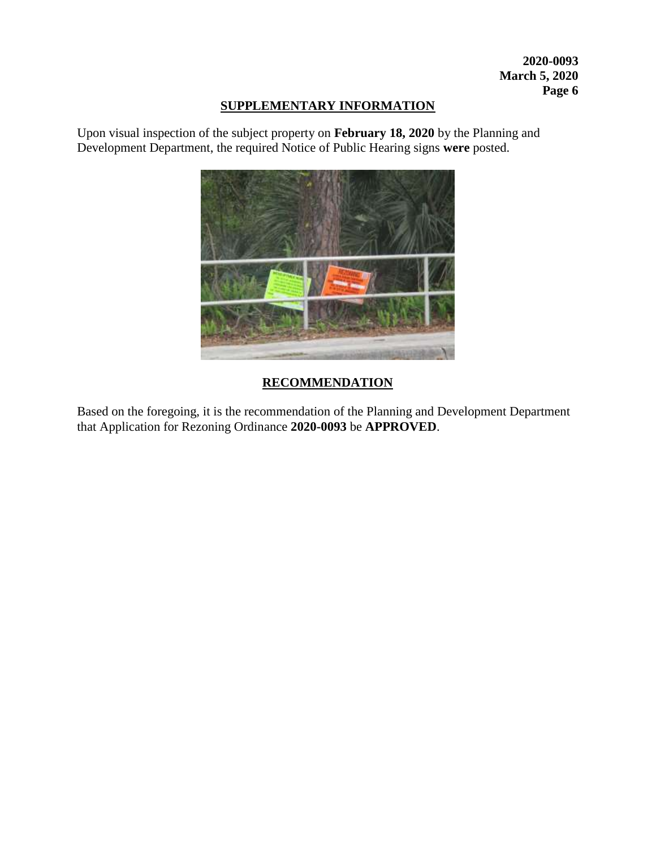## **SUPPLEMENTARY INFORMATION**

Upon visual inspection of the subject property on **February 18, 2020** by the Planning and Development Department, the required Notice of Public Hearing signs **were** posted.



# **RECOMMENDATION**

Based on the foregoing, it is the recommendation of the Planning and Development Department that Application for Rezoning Ordinance **2020-0093** be **APPROVED**.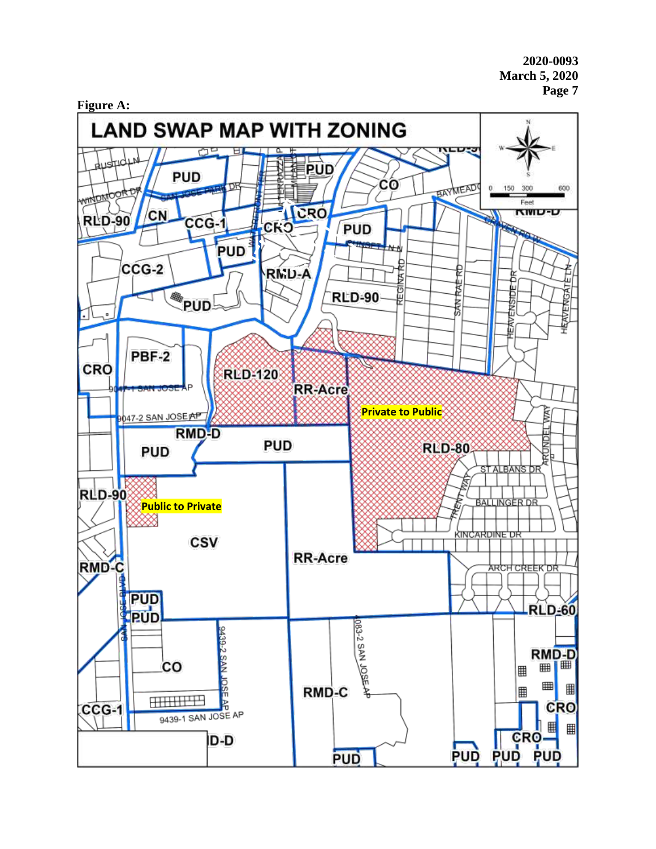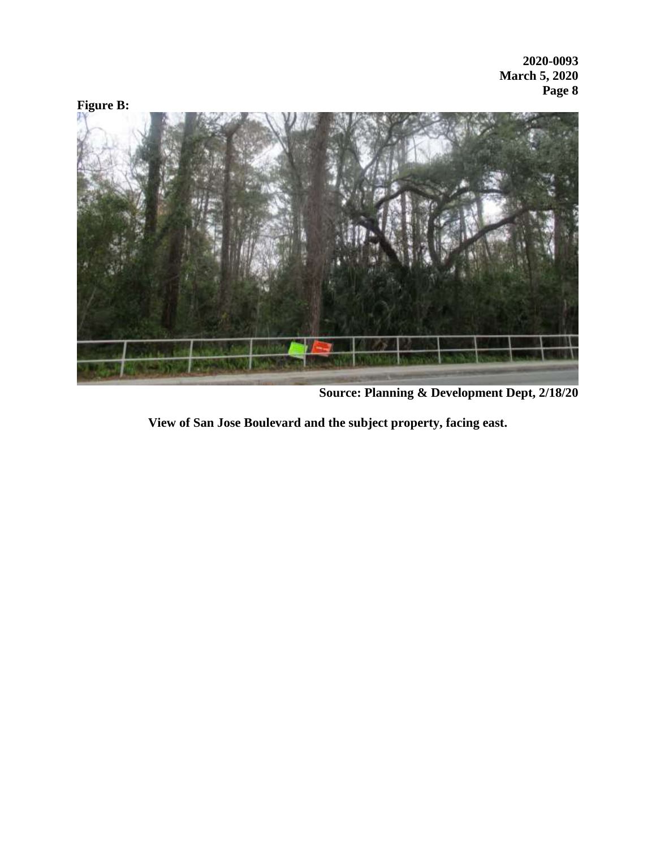

**Source: Planning & Development Dept, 2/18/20**

**View of San Jose Boulevard and the subject property, facing east.**